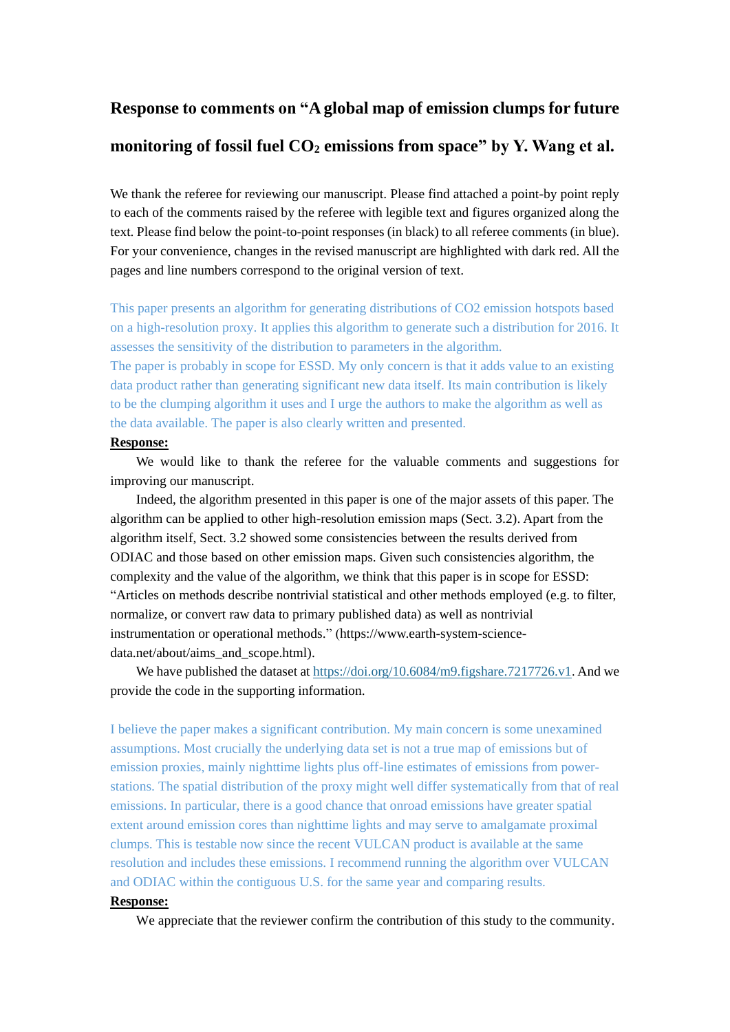# **Response to comments on "A global map of emission clumps for future monitoring of fossil fuel CO<sup>2</sup> emissions from space" by Y. Wang et al.**

We thank the referee for reviewing our manuscript. Please find attached a point-by point reply to each of the comments raised by the referee with legible text and figures organized along the text. Please find below the point-to-point responses (in black) to all referee comments (in blue). For your convenience, changes in the revised manuscript are highlighted with dark red. All the pages and line numbers correspond to the original version of text.

This paper presents an algorithm for generating distributions of CO2 emission hotspots based on a high-resolution proxy. It applies this algorithm to generate such a distribution for 2016. It assesses the sensitivity of the distribution to parameters in the algorithm.

The paper is probably in scope for ESSD. My only concern is that it adds value to an existing data product rather than generating significant new data itself. Its main contribution is likely to be the clumping algorithm it uses and I urge the authors to make the algorithm as well as the data available. The paper is also clearly written and presented.

#### **Response:**

We would like to thank the referee for the valuable comments and suggestions for improving our manuscript.

Indeed, the algorithm presented in this paper is one of the major assets of this paper. The algorithm can be applied to other high-resolution emission maps (Sect. 3.2). Apart from the algorithm itself, Sect. 3.2 showed some consistencies between the results derived from ODIAC and those based on other emission maps. Given such consistencies algorithm, the complexity and the value of the algorithm, we think that this paper is in scope for ESSD: "Articles on methods describe nontrivial statistical and other methods employed (e.g. to filter, normalize, or convert raw data to primary published data) as well as nontrivial instrumentation or operational methods." (https://www.earth-system-sciencedata.net/about/aims\_and\_scope.html).

We have published the dataset at<https://doi.org/10.6084/m9.figshare.7217726.v1>. And we provide the code in the supporting information.

I believe the paper makes a significant contribution. My main concern is some unexamined assumptions. Most crucially the underlying data set is not a true map of emissions but of emission proxies, mainly nighttime lights plus off-line estimates of emissions from powerstations. The spatial distribution of the proxy might well differ systematically from that of real emissions. In particular, there is a good chance that onroad emissions have greater spatial extent around emission cores than nighttime lights and may serve to amalgamate proximal clumps. This is testable now since the recent VULCAN product is available at the same resolution and includes these emissions. I recommend running the algorithm over VULCAN and ODIAC within the contiguous U.S. for the same year and comparing results.

#### **Response:**

We appreciate that the reviewer confirm the contribution of this study to the community.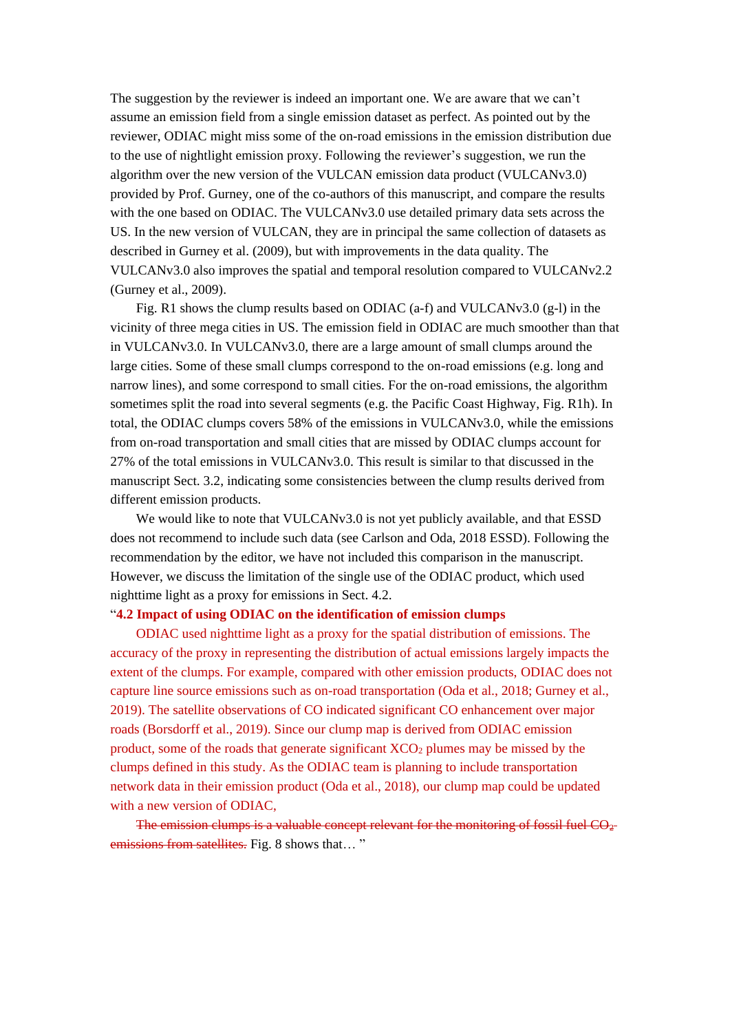The suggestion by the reviewer is indeed an important one. We are aware that we can't assume an emission field from a single emission dataset as perfect. As pointed out by the reviewer, ODIAC might miss some of the on-road emissions in the emission distribution due to the use of nightlight emission proxy. Following the reviewer's suggestion, we run the algorithm over the new version of the VULCAN emission data product (VULCANv3.0) provided by Prof. Gurney, one of the co-authors of this manuscript, and compare the results with the one based on ODIAC. The VULCANv3.0 use detailed primary data sets across the US. In the new version of VULCAN, they are in principal the same collection of datasets as described in Gurney et al. (2009), but with improvements in the data quality. The VULCANv3.0 also improves the spatial and temporal resolution compared to VULCANv2.2 (Gurney et al., 2009).

Fig. R1 shows the clump results based on ODIAC (a-f) and VULCANv3.0 (g-l) in the vicinity of three mega cities in US. The emission field in ODIAC are much smoother than that in VULCANv3.0. In VULCANv3.0, there are a large amount of small clumps around the large cities. Some of these small clumps correspond to the on-road emissions (e.g. long and narrow lines), and some correspond to small cities. For the on-road emissions, the algorithm sometimes split the road into several segments (e.g. the Pacific Coast Highway, Fig. R1h). In total, the ODIAC clumps covers 58% of the emissions in VULCANv3.0, while the emissions from on-road transportation and small cities that are missed by ODIAC clumps account for 27% of the total emissions in VULCANv3.0. This result is similar to that discussed in the manuscript Sect. 3.2, indicating some consistencies between the clump results derived from different emission products.

We would like to note that VULCANv3.0 is not yet publicly available, and that ESSD does not recommend to include such data (see Carlson and Oda, 2018 ESSD). Following the recommendation by the editor, we have not included this comparison in the manuscript. However, we discuss the limitation of the single use of the ODIAC product, which used nighttime light as a proxy for emissions in Sect. 4.2.

### "**4.2 Impact of using ODIAC on the identification of emission clumps**

ODIAC used nighttime light as a proxy for the spatial distribution of emissions. The accuracy of the proxy in representing the distribution of actual emissions largely impacts the extent of the clumps. For example, compared with other emission products, ODIAC does not capture line source emissions such as on-road transportation (Oda et al., 2018; Gurney et al., 2019). The satellite observations of CO indicated significant CO enhancement over major roads (Borsdorff et al., 2019). Since our clump map is derived from ODIAC emission product, some of the roads that generate significant  $XCO<sub>2</sub>$  plumes may be missed by the clumps defined in this study. As the ODIAC team is planning to include transportation network data in their emission product (Oda et al., 2018), our clump map could be updated with a new version of ODIAC,

The emission clumps is a valuable concept relevant for the monitoring of fossil fuel  $CO<sub>2</sub>$ emissions from satellites. Fig. 8 shows that..."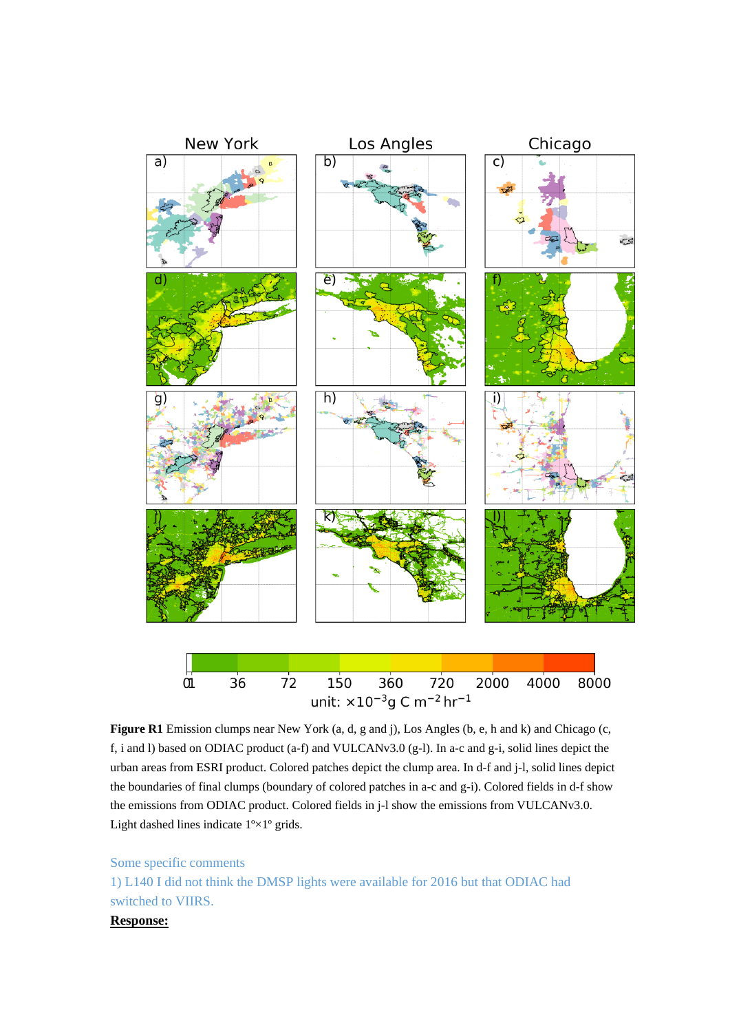

**Figure R1** Emission clumps near New York (a, d, g and j), Los Angles (b, e, h and k) and Chicago (c, f, i and l) based on ODIAC product (a-f) and VULCANv3.0 (g-l). In a-c and g-i, solid lines depict the urban areas from ESRI product. Colored patches depict the clump area. In d-f and j-l, solid lines depict the boundaries of final clumps (boundary of colored patches in a-c and g-i). Colored fields in d-f show the emissions from ODIAC product. Colored fields in j-l show the emissions from VULCANv3.0. Light dashed lines indicate  $1 \times 1$  ° grids.

## Some specific comments 1) L140 I did not think the DMSP lights were available for 2016 but that ODIAC had switched to VIIRS.

## **Response:**